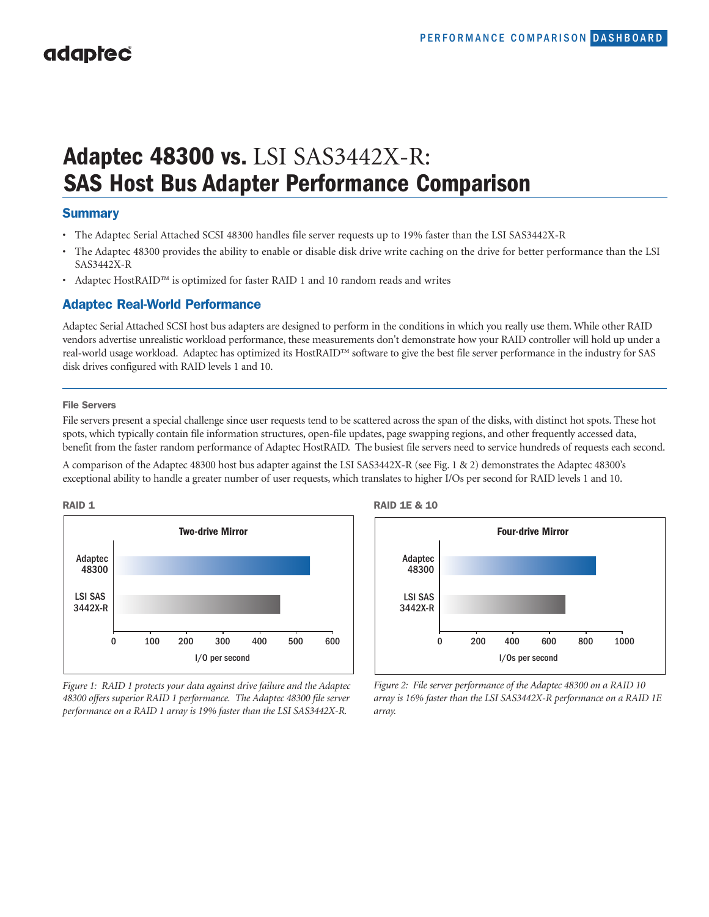# **Adaptec 48300 vs.** LSI SAS3442X-R: **SAS Host Bus Adapter Performance Comparison**

## **Summary**

- The Adaptec Serial Attached SCSI 48300 handles file server requests up to 19% faster than the LSI SAS3442X-R
- The Adaptec 48300 provides the ability to enable or disable disk drive write caching on the drive for better performance than the LSI SAS3442X-R
- Adaptec HostRAID™ is optimized for faster RAID 1 and 10 random reads and writes

## **Adaptec Real-World Performance**

Adaptec Serial Attached SCSI host bus adapters are designed to perform in the conditions in which you really use them. While other RAID vendors advertise unrealistic workload performance, these measurements don't demonstrate how your RAID controller will hold up under a real-world usage workload. Adaptec has optimized its HostRAID™ software to give the best file server performance in the industry for SAS disk drives configured with RAID levels 1 and 10.

#### **File Servers**

File servers present a special challenge since user requests tend to be scattered across the span of the disks, with distinct hot spots. These hot spots, which typically contain file information structures, open-file updates, page swapping regions, and other frequently accessed data, benefit from the faster random performance of Adaptec HostRAID. The busiest file servers need to service hundreds of requests each second.

A comparison of the Adaptec 48300 host bus adapter against the LSI SAS3442X-R (see Fig. 1 & 2) demonstrates the Adaptec 48300's exceptional ability to handle a greater number of user requests, which translates to higher I/Os per second for RAID levels 1 and 10.



*Figure 1: RAID 1 protects your data against drive failure and the Adaptec 48300 offers superior RAID 1 performance. The Adaptec 48300 file server performance on a RAID 1 array is 19% faster than the LSI SAS3442X-R.*



*Figure 2: File server performance of the Adaptec 48300 on a RAID 10 array is 16% faster than the LSI SAS3442X-R performance on a RAID 1E array.*